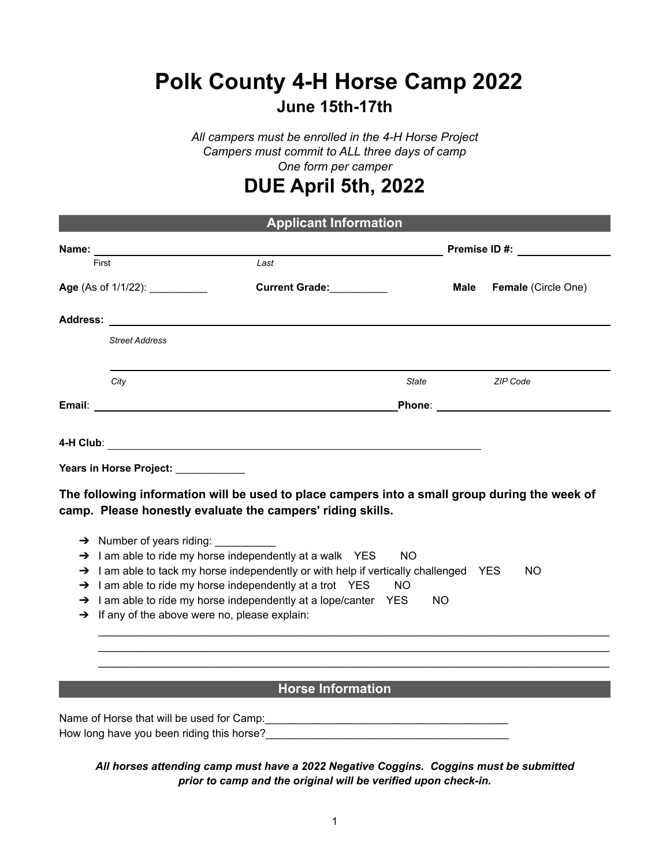# **Polk County 4-H Horse Camp 2022**

### **June 15th-17th**

*All campers must be enrolled in the 4-H Horse Project Campers must commit to ALL three days of camp One form per camper*

## **DUE April 5th, 2022**

| <b>Applicant Information</b> |                                                                                                                                                             |           |                      |  |  |
|------------------------------|-------------------------------------------------------------------------------------------------------------------------------------------------------------|-----------|----------------------|--|--|
| Name:                        |                                                                                                                                                             |           | <b>Premise ID #:</b> |  |  |
| First                        | Last                                                                                                                                                        |           |                      |  |  |
|                              | Age (As of 1/1/22): ___________<br>Current Grade:                                                                                                           | Male      | Female (Circle One)  |  |  |
|                              |                                                                                                                                                             |           |                      |  |  |
|                              | <b>Street Address</b>                                                                                                                                       |           |                      |  |  |
|                              | City                                                                                                                                                        | State     | <b>ZIP Code</b>      |  |  |
|                              |                                                                                                                                                             |           |                      |  |  |
|                              |                                                                                                                                                             |           |                      |  |  |
|                              | Years in Horse Project: Vears in Horse Project:                                                                                                             |           |                      |  |  |
|                              | The following information will be used to place campers into a small group during the week of<br>camp. Please honestly evaluate the campers' riding skills. |           |                      |  |  |
|                              |                                                                                                                                                             |           |                      |  |  |
|                              | $\rightarrow$ 1 am able to ride my horse independently at a walk YES<br><b>NO</b>                                                                           |           |                      |  |  |
|                              | $\rightarrow$ 1 am able to tack my horse independently or with help if vertically challenged YES                                                            |           | <b>NO</b>            |  |  |
|                              | $\rightarrow$ 1 am able to ride my horse independently at a trot YES<br><b>NO</b>                                                                           |           |                      |  |  |
|                              | $\rightarrow$ I am able to ride my horse independently at a lope/canter YES<br>$\rightarrow$ If any of the above were no, please explain:                   | <b>NO</b> |                      |  |  |
|                              |                                                                                                                                                             |           |                      |  |  |
|                              |                                                                                                                                                             |           |                      |  |  |
|                              | <b>Horse Information</b>                                                                                                                                    |           |                      |  |  |
|                              | Name of Horse that will be used for Camp:                                                                                                                   |           |                      |  |  |

How long have you been riding this horse?\_\_\_

*All horses attending camp must have a 2022 Negative Coggins. Coggins must be submitted prior to camp and the original will be verified upon check-in.*